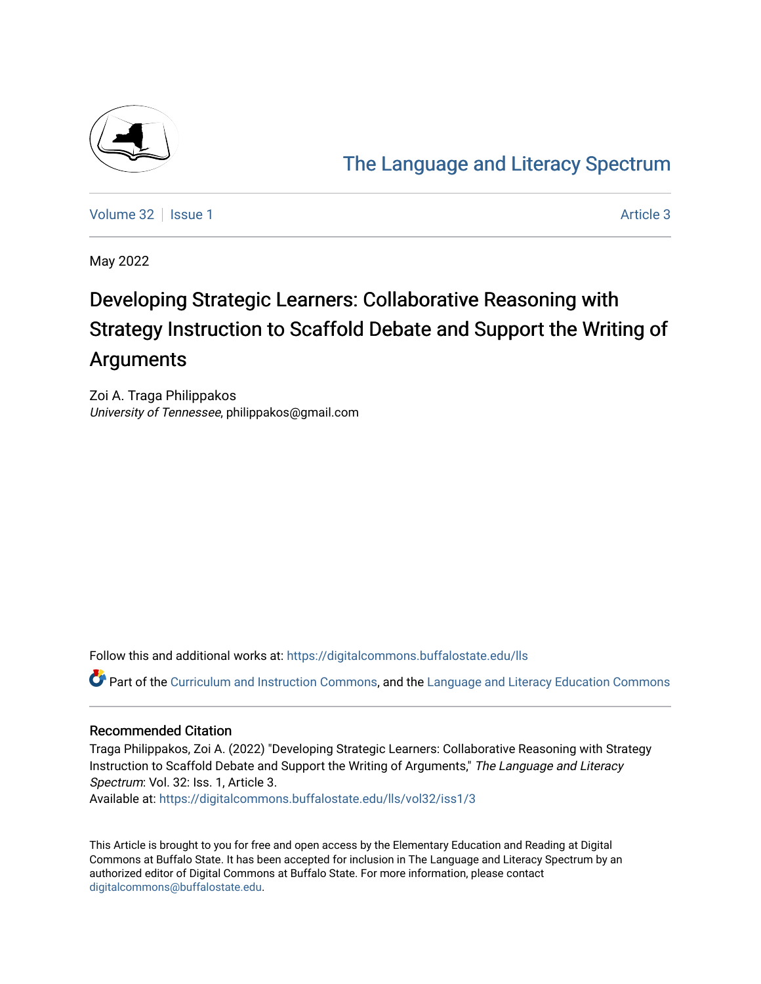

# [The Language and Literacy Spectrum](https://digitalcommons.buffalostate.edu/lls)

[Volume 32](https://digitalcommons.buffalostate.edu/lls/vol32) | [Issue 1](https://digitalcommons.buffalostate.edu/lls/vol32/iss1) Article 3

May 2022

# Developing Strategic Learners: Collaborative Reasoning with Strategy Instruction to Scaffold Debate and Support the Writing of Arguments

Zoi A. Traga Philippakos University of Tennessee, philippakos@gmail.com

Follow this and additional works at: [https://digitalcommons.buffalostate.edu/lls](https://digitalcommons.buffalostate.edu/lls?utm_source=digitalcommons.buffalostate.edu%2Flls%2Fvol32%2Fiss1%2F3&utm_medium=PDF&utm_campaign=PDFCoverPages)

Part of the [Curriculum and Instruction Commons,](https://network.bepress.com/hgg/discipline/786?utm_source=digitalcommons.buffalostate.edu%2Flls%2Fvol32%2Fiss1%2F3&utm_medium=PDF&utm_campaign=PDFCoverPages) and the Language and Literacy Education Commons

#### Recommended Citation

Traga Philippakos, Zoi A. (2022) "Developing Strategic Learners: Collaborative Reasoning with Strategy Instruction to Scaffold Debate and Support the Writing of Arguments," The Language and Literacy Spectrum: Vol. 32: Iss. 1, Article 3.

Available at: [https://digitalcommons.buffalostate.edu/lls/vol32/iss1/3](https://digitalcommons.buffalostate.edu/lls/vol32/iss1/3?utm_source=digitalcommons.buffalostate.edu%2Flls%2Fvol32%2Fiss1%2F3&utm_medium=PDF&utm_campaign=PDFCoverPages) 

This Article is brought to you for free and open access by the Elementary Education and Reading at Digital Commons at Buffalo State. It has been accepted for inclusion in The Language and Literacy Spectrum by an authorized editor of Digital Commons at Buffalo State. For more information, please contact [digitalcommons@buffalostate.edu.](mailto:digitalcommons@buffalostate.edu)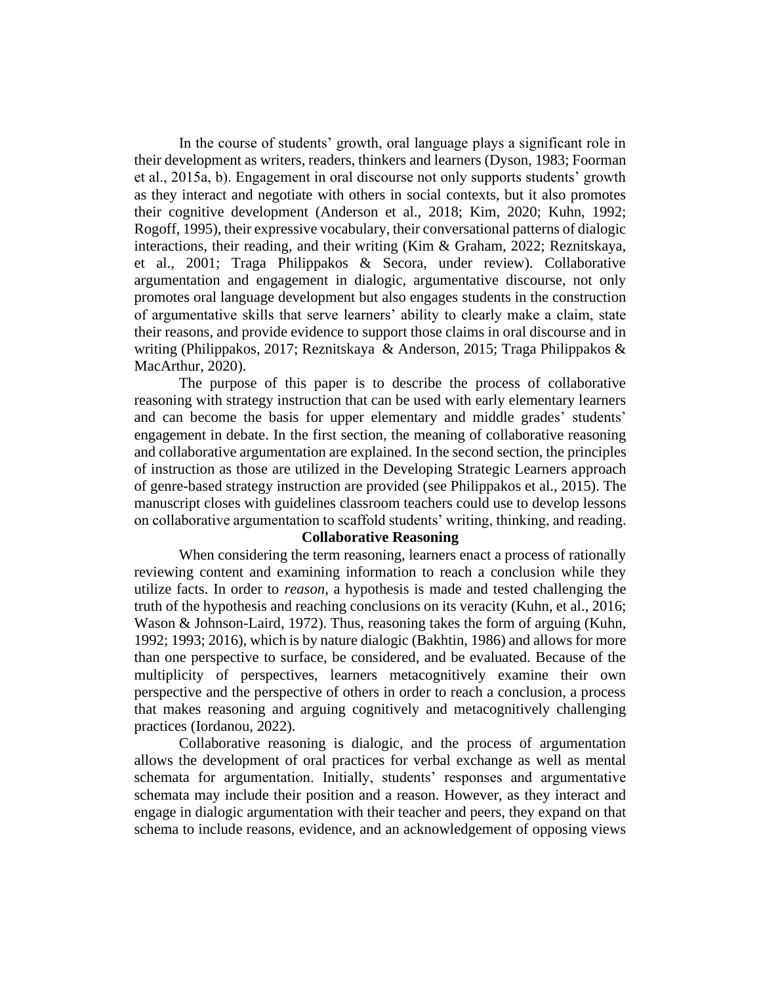In the course of students' growth, oral language plays a significant role in their development as writers, readers, thinkers and learners (Dyson, 1983; Foorman et al., 2015a, b). Engagement in oral discourse not only supports students' growth as they interact and negotiate with others in social contexts, but it also promotes their cognitive development (Anderson et al., 2018; Kim, 2020; Kuhn, 1992; Rogoff, 1995), their expressive vocabulary, their conversational patterns of dialogic interactions, their reading, and their writing (Kim & Graham, 2022; Reznitskaya, et al., 2001; Traga Philippakos & Secora, under review). Collaborative argumentation and engagement in dialogic, argumentative discourse, not only promotes oral language development but also engages students in the construction of argumentative skills that serve learners' ability to clearly make a claim, state their reasons, and provide evidence to support those claims in oral discourse and in writing (Philippakos, 2017; Reznitskaya & Anderson, 2015; Traga Philippakos & MacArthur, 2020).

The purpose of this paper is to describe the process of collaborative reasoning with strategy instruction that can be used with early elementary learners and can become the basis for upper elementary and middle grades' students' engagement in debate. In the first section, the meaning of collaborative reasoning and collaborative argumentation are explained. In the second section, the principles of instruction as those are utilized in the Developing Strategic Learners approach of genre-based strategy instruction are provided (see Philippakos et al., 2015). The manuscript closes with guidelines classroom teachers could use to develop lessons on collaborative argumentation to scaffold students' writing, thinking, and reading.

#### **Collaborative Reasoning**

When considering the term reasoning, learners enact a process of rationally reviewing content and examining information to reach a conclusion while they utilize facts. In order to *reason*, a hypothesis is made and tested challenging the truth of the hypothesis and reaching conclusions on its veracity (Kuhn, et al., 2016; Wason & Johnson-Laird, 1972). Thus, reasoning takes the form of arguing (Kuhn, 1992; 1993; 2016), which is by nature dialogic (Bakhtin, 1986) and allows for more than one perspective to surface, be considered, and be evaluated. Because of the multiplicity of perspectives, learners metacognitively examine their own perspective and the perspective of others in order to reach a conclusion, a process that makes reasoning and arguing cognitively and metacognitively challenging practices (Iordanou, 2022).

Collaborative reasoning is dialogic, and the process of argumentation allows the development of oral practices for verbal exchange as well as mental schemata for argumentation. Initially, students' responses and argumentative schemata may include their position and a reason. However, as they interact and engage in dialogic argumentation with their teacher and peers, they expand on that schema to include reasons, evidence, and an acknowledgement of opposing views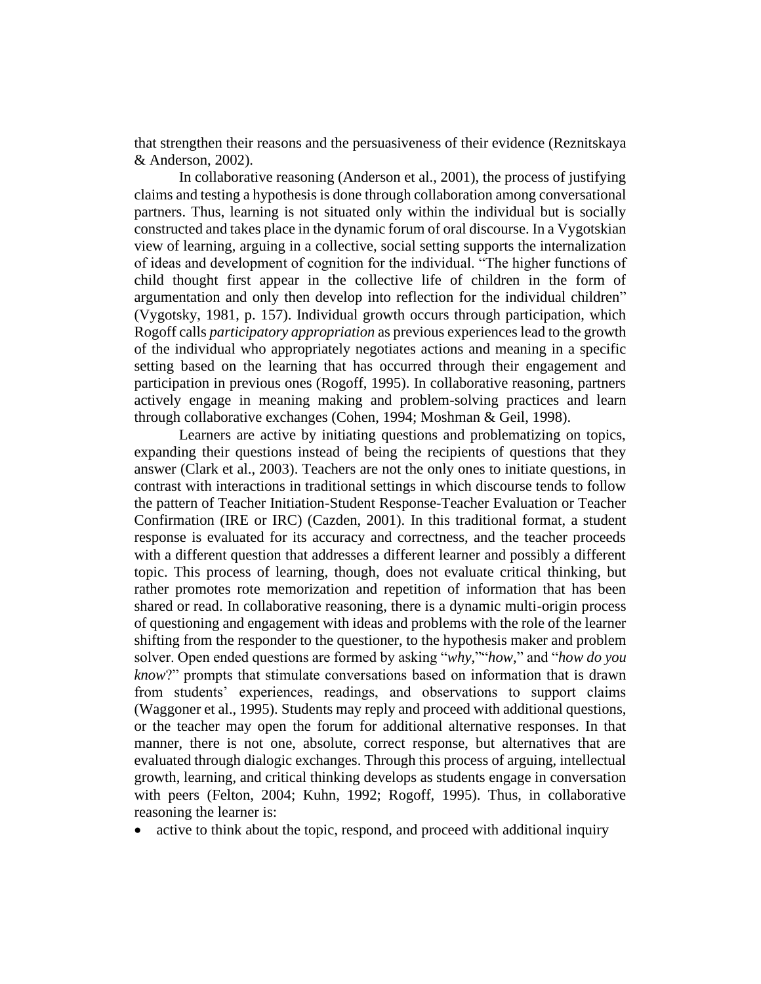that strengthen their reasons and the persuasiveness of their evidence (Reznitskaya & Anderson, 2002).

In collaborative reasoning (Anderson et al., 2001), the process of justifying claims and testing a hypothesis is done through collaboration among conversational partners. Thus, learning is not situated only within the individual but is socially constructed and takes place in the dynamic forum of oral discourse. In a Vygotskian view of learning, arguing in a collective, social setting supports the internalization of ideas and development of cognition for the individual. "The higher functions of child thought first appear in the collective life of children in the form of argumentation and only then develop into reflection for the individual children" (Vygotsky, 1981, p. 157). Individual growth occurs through participation, which Rogoff calls *participatory appropriation* as previous experiences lead to the growth of the individual who appropriately negotiates actions and meaning in a specific setting based on the learning that has occurred through their engagement and participation in previous ones (Rogoff, 1995). In collaborative reasoning, partners actively engage in meaning making and problem-solving practices and learn through collaborative exchanges (Cohen, 1994; Moshman & Geil, 1998).

Learners are active by initiating questions and problematizing on topics, expanding their questions instead of being the recipients of questions that they answer (Clark et al., 2003). Teachers are not the only ones to initiate questions, in contrast with interactions in traditional settings in which discourse tends to follow the pattern of Teacher Initiation-Student Response-Teacher Evaluation or Teacher Confirmation (IRE or IRC) (Cazden, 2001). In this traditional format, a student response is evaluated for its accuracy and correctness, and the teacher proceeds with a different question that addresses a different learner and possibly a different topic. This process of learning, though, does not evaluate critical thinking, but rather promotes rote memorization and repetition of information that has been shared or read. In collaborative reasoning, there is a dynamic multi-origin process of questioning and engagement with ideas and problems with the role of the learner shifting from the responder to the questioner, to the hypothesis maker and problem solver. Open ended questions are formed by asking "*why*,""*how*," and "*how do you know*?" prompts that stimulate conversations based on information that is drawn from students' experiences, readings, and observations to support claims (Waggoner et al., 1995). Students may reply and proceed with additional questions, or the teacher may open the forum for additional alternative responses. In that manner, there is not one, absolute, correct response, but alternatives that are evaluated through dialogic exchanges. Through this process of arguing, intellectual growth, learning, and critical thinking develops as students engage in conversation with peers (Felton, 2004; Kuhn, 1992; Rogoff, 1995). Thus, in collaborative reasoning the learner is:

• active to think about the topic, respond, and proceed with additional inquiry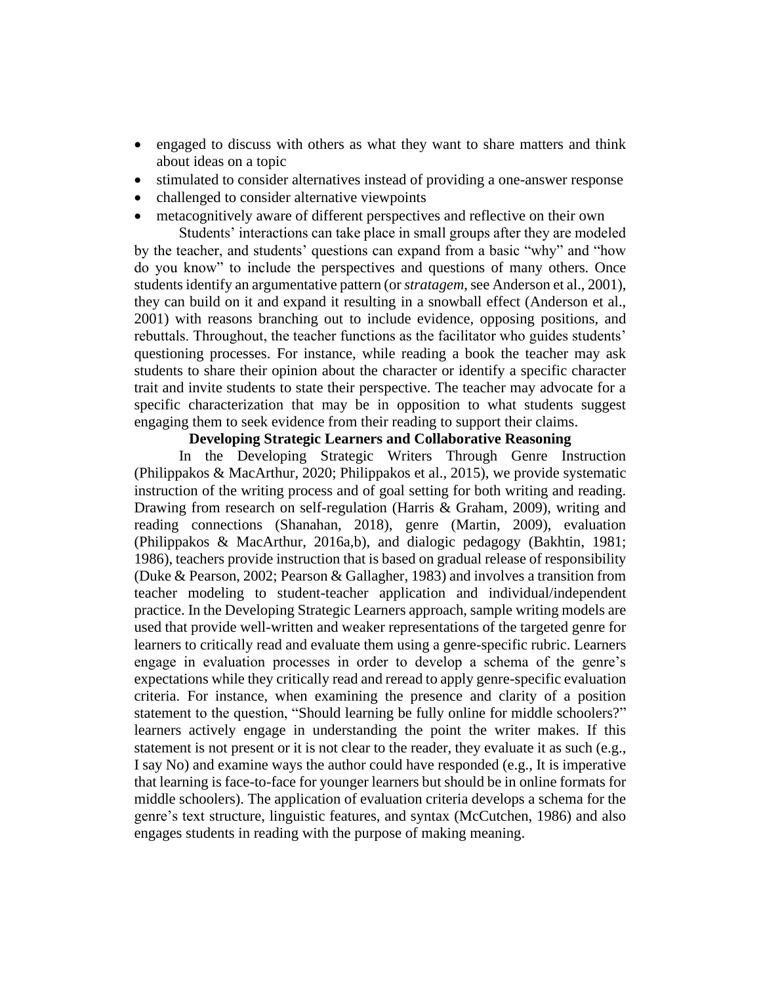- engaged to discuss with others as what they want to share matters and think about ideas on a topic
- stimulated to consider alternatives instead of providing a one-answer response
- challenged to consider alternative viewpoints
- metacognitively aware of different perspectives and reflective on their own

Students' interactions can take place in small groups after they are modeled by the teacher, and students' questions can expand from a basic "why" and "how do you know" to include the perspectives and questions of many others. Once students identify an argumentative pattern (or *stratagem*, see Anderson et al., 2001), they can build on it and expand it resulting in a snowball effect (Anderson et al., 2001) with reasons branching out to include evidence, opposing positions, and rebuttals. Throughout, the teacher functions as the facilitator who guides students' questioning processes. For instance, while reading a book the teacher may ask students to share their opinion about the character or identify a specific character trait and invite students to state their perspective. The teacher may advocate for a specific characterization that may be in opposition to what students suggest engaging them to seek evidence from their reading to support their claims.

# **Developing Strategic Learners and Collaborative Reasoning**

In the Developing Strategic Writers Through Genre Instruction (Philippakos & MacArthur, 2020; Philippakos et al., 2015), we provide systematic instruction of the writing process and of goal setting for both writing and reading. Drawing from research on self-regulation (Harris & Graham, 2009), writing and reading connections (Shanahan, 2018), genre (Martin, 2009), evaluation (Philippakos & MacArthur, 2016a,b), and dialogic pedagogy (Bakhtin, 1981; 1986), teachers provide instruction that is based on gradual release of responsibility (Duke & Pearson, 2002; Pearson & Gallagher, 1983) and involves a transition from teacher modeling to student-teacher application and individual/independent practice. In the Developing Strategic Learners approach, sample writing models are used that provide well-written and weaker representations of the targeted genre for learners to critically read and evaluate them using a genre-specific rubric. Learners engage in evaluation processes in order to develop a schema of the genre's expectations while they critically read and reread to apply genre-specific evaluation criteria. For instance, when examining the presence and clarity of a position statement to the question, "Should learning be fully online for middle schoolers?" learners actively engage in understanding the point the writer makes. If this statement is not present or it is not clear to the reader, they evaluate it as such (e.g., I say No) and examine ways the author could have responded (e.g., It is imperative that learning is face-to-face for younger learners but should be in online formats for middle schoolers). The application of evaluation criteria develops a schema for the genre's text structure, linguistic features, and syntax (McCutchen, 1986) and also engages students in reading with the purpose of making meaning.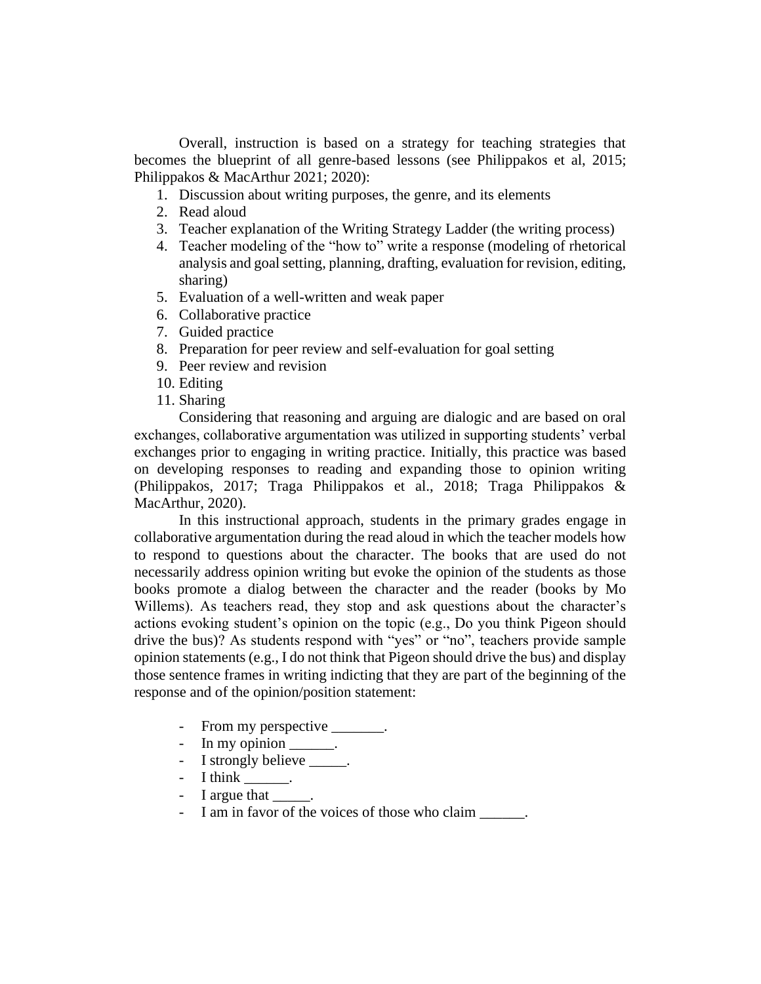Overall, instruction is based on a strategy for teaching strategies that becomes the blueprint of all genre-based lessons (see Philippakos et al, 2015; Philippakos & MacArthur 2021; 2020):

- 1. Discussion about writing purposes, the genre, and its elements
- 2. Read aloud
- 3. Teacher explanation of the Writing Strategy Ladder (the writing process)
- 4. Teacher modeling of the "how to" write a response (modeling of rhetorical analysis and goal setting, planning, drafting, evaluation for revision, editing, sharing)
- 5. Evaluation of a well-written and weak paper
- 6. Collaborative practice
- 7. Guided practice
- 8. Preparation for peer review and self-evaluation for goal setting
- 9. Peer review and revision
- 10. Editing
- 11. Sharing

Considering that reasoning and arguing are dialogic and are based on oral exchanges, collaborative argumentation was utilized in supporting students' verbal exchanges prior to engaging in writing practice. Initially, this practice was based on developing responses to reading and expanding those to opinion writing (Philippakos, 2017; Traga Philippakos et al., 2018; Traga Philippakos & MacArthur, 2020).

In this instructional approach, students in the primary grades engage in collaborative argumentation during the read aloud in which the teacher models how to respond to questions about the character. The books that are used do not necessarily address opinion writing but evoke the opinion of the students as those books promote a dialog between the character and the reader (books by Mo Willems). As teachers read, they stop and ask questions about the character's actions evoking student's opinion on the topic (e.g., Do you think Pigeon should drive the bus)? As students respond with "yes" or "no", teachers provide sample opinion statements (e.g., I do not think that Pigeon should drive the bus) and display those sentence frames in writing indicting that they are part of the beginning of the response and of the opinion/position statement:

- From my perspective \_\_\_\_\_\_\_.
- In my opinion \_\_\_\_\_\_.
- I strongly believe .
- I think  $\_\_\_\_\_\_\_\$ .
- I argue that  $\qquad$ .
- I am in favor of the voices of those who claim \_\_\_\_\_\_.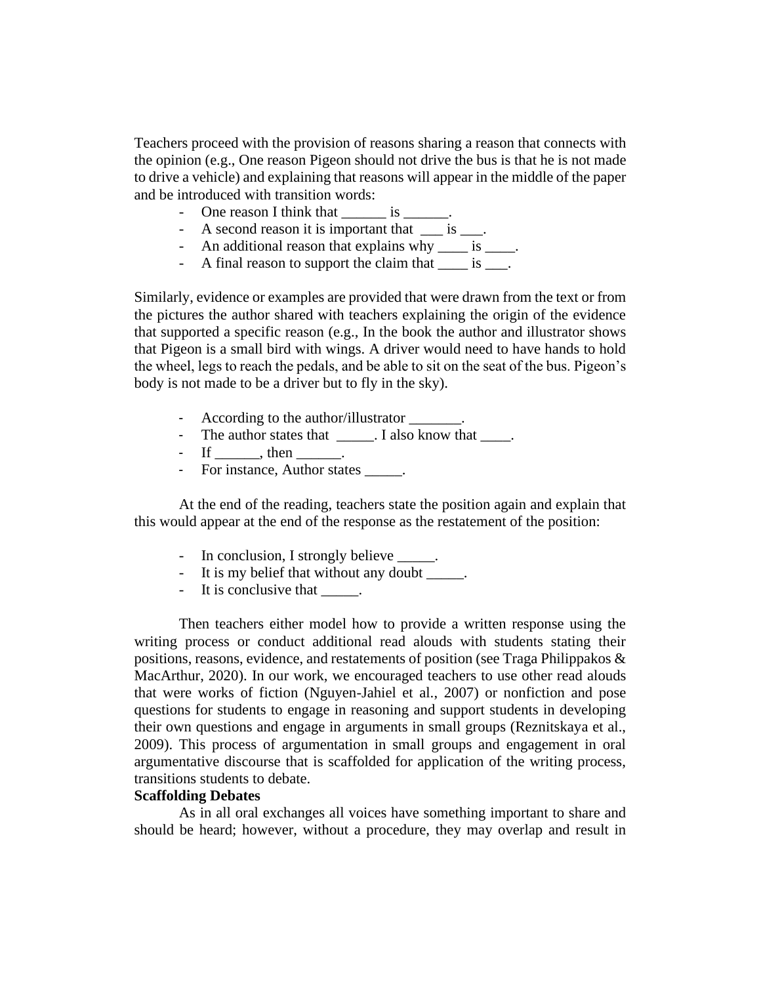Teachers proceed with the provision of reasons sharing a reason that connects with the opinion (e.g., One reason Pigeon should not drive the bus is that he is not made to drive a vehicle) and explaining that reasons will appear in the middle of the paper and be introduced with transition words:

- One reason I think that \_\_\_\_\_\_\_ is \_\_\_\_\_\_.
- A second reason it is important that  $\frac{\ }{2}$  is  $\frac{\ }{2}$ .
- An additional reason that explains why \_\_\_\_ is \_\_\_\_.
- A final reason to support the claim that <u>each</u>.

Similarly, evidence or examples are provided that were drawn from the text or from the pictures the author shared with teachers explaining the origin of the evidence that supported a specific reason (e.g., In the book the author and illustrator shows that Pigeon is a small bird with wings. A driver would need to have hands to hold the wheel, legs to reach the pedals, and be able to sit on the seat of the bus. Pigeon's body is not made to be a driver but to fly in the sky).

- According to the author/illustrator
- The author states that \_\_\_\_\_. I also know that \_\_\_\_.
- $-$  If \_\_\_\_\_\_, then \_\_\_\_\_.
- For instance, Author states \_\_\_\_\_.

At the end of the reading, teachers state the position again and explain that this would appear at the end of the response as the restatement of the position:

- In conclusion, I strongly believe \_\_\_\_\_.
- It is my belief that without any doubt \_\_\_\_\_.
- It is conclusive that  $\qquad$ .

Then teachers either model how to provide a written response using the writing process or conduct additional read alouds with students stating their positions, reasons, evidence, and restatements of position (see Traga Philippakos & MacArthur, 2020). In our work, we encouraged teachers to use other read alouds that were works of fiction (Nguyen-Jahiel et al., 2007) or nonfiction and pose questions for students to engage in reasoning and support students in developing their own questions and engage in arguments in small groups (Reznitskaya et al., 2009). This process of argumentation in small groups and engagement in oral argumentative discourse that is scaffolded for application of the writing process, transitions students to debate.

## **Scaffolding Debates**

As in all oral exchanges all voices have something important to share and should be heard; however, without a procedure, they may overlap and result in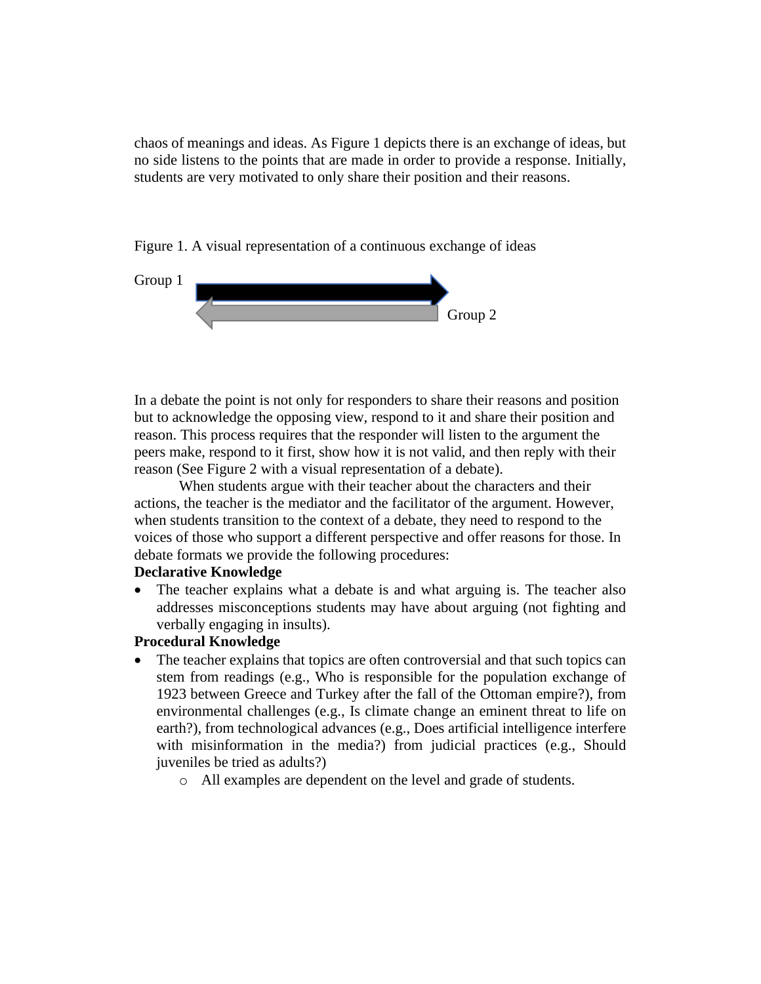chaos of meanings and ideas. As Figure 1 depicts there is an exchange of ideas, but no side listens to the points that are made in order to provide a response. Initially, students are very motivated to only share their position and their reasons.





In a debate the point is not only for responders to share their reasons and position but to acknowledge the opposing view, respond to it and share their position and reason. This process requires that the responder will listen to the argument the peers make, respond to it first, show how it is not valid, and then reply with their reason (See Figure 2 with a visual representation of a debate).

When students argue with their teacher about the characters and their actions, the teacher is the mediator and the facilitator of the argument. However, when students transition to the context of a debate, they need to respond to the voices of those who support a different perspective and offer reasons for those. In debate formats we provide the following procedures:

#### **Declarative Knowledge**

• The teacher explains what a debate is and what arguing is. The teacher also addresses misconceptions students may have about arguing (not fighting and verbally engaging in insults).

#### **Procedural Knowledge**

- The teacher explains that topics are often controversial and that such topics can stem from readings (e.g., Who is responsible for the population exchange of 1923 between Greece and Turkey after the fall of the Ottoman empire?), from environmental challenges (e.g., Is climate change an eminent threat to life on earth?), from technological advances (e.g., Does artificial intelligence interfere with misinformation in the media?) from judicial practices (e.g., Should juveniles be tried as adults?)
	- o All examples are dependent on the level and grade of students.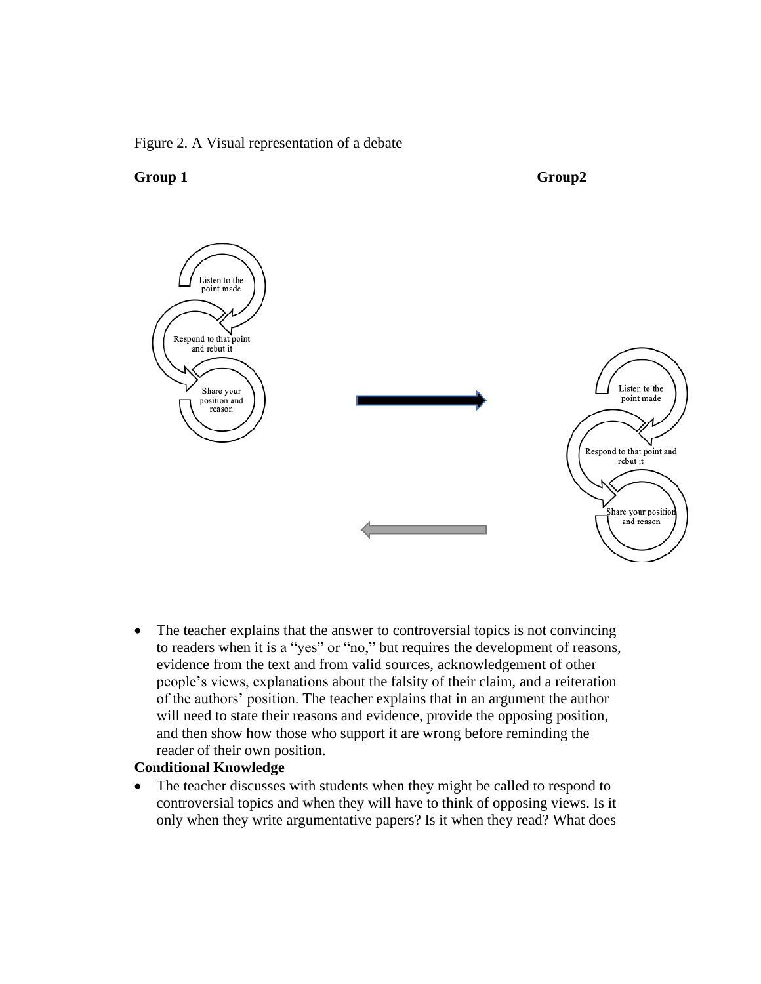#### Figure 2. A Visual representation of a debate





• The teacher explains that the answer to controversial topics is not convincing to readers when it is a "yes" or "no," but requires the development of reasons, evidence from the text and from valid sources, acknowledgement of other people's views, explanations about the falsity of their claim, and a reiteration of the authors' position. The teacher explains that in an argument the author will need to state their reasons and evidence, provide the opposing position, and then show how those who support it are wrong before reminding the reader of their own position.

## **Conditional Knowledge**

• The teacher discusses with students when they might be called to respond to controversial topics and when they will have to think of opposing views. Is it only when they write argumentative papers? Is it when they read? What does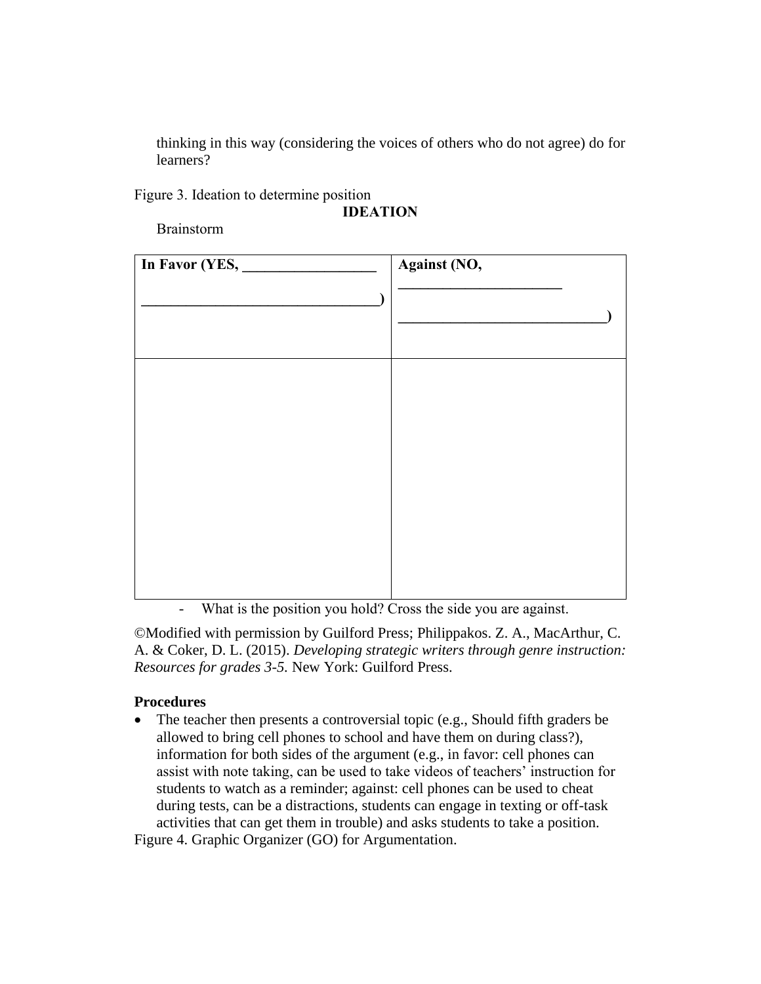thinking in this way (considering the voices of others who do not agree) do for learners?

Figure 3. Ideation to determine position

### **IDEATION**

Brainstorm

| In Favor (YES, _____                                                                                                     | Against (NO,                                           |
|--------------------------------------------------------------------------------------------------------------------------|--------------------------------------------------------|
|                                                                                                                          |                                                        |
|                                                                                                                          |                                                        |
| $\ddotsc$<br>$\mathbf{X} \mathbf{X}$ and $\mathbf{X} \mathbf{X}$ and $\mathbf{X} \mathbf{X}$ and $\mathbf{X} \mathbf{X}$ | $1110 \times 1111$<br>$\bullet$ . The set of $\bullet$ |

- What is the position you hold? Cross the side you are against.

©Modified with permission by Guilford Press; Philippakos. Z. A., MacArthur, C. A. & Coker, D. L. (2015). *Developing strategic writers through genre instruction: Resources for grades 3-5.* New York: Guilford Press.

### **Procedures**

• The teacher then presents a controversial topic (e.g., Should fifth graders be allowed to bring cell phones to school and have them on during class?), information for both sides of the argument (e.g., in favor: cell phones can assist with note taking, can be used to take videos of teachers' instruction for students to watch as a reminder; against: cell phones can be used to cheat during tests, can be a distractions, students can engage in texting or off-task activities that can get them in trouble) and asks students to take a position.

Figure 4. Graphic Organizer (GO) for Argumentation.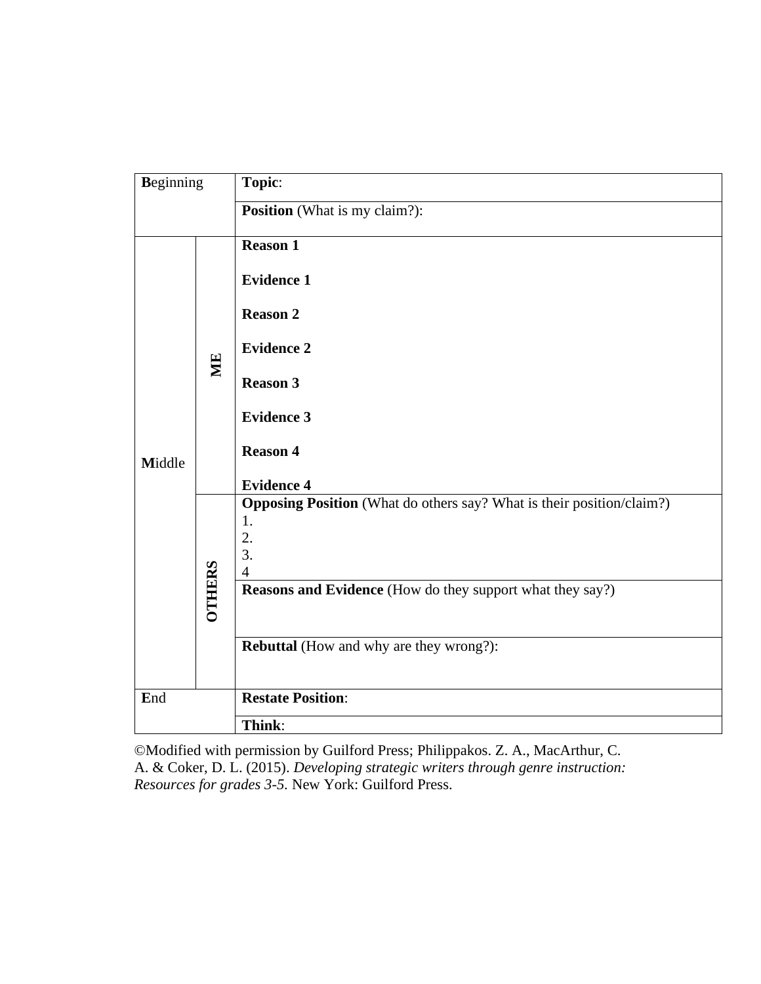| <b>Beginning</b> |               | Topic:                                                                                                                                                                                                                          |
|------------------|---------------|---------------------------------------------------------------------------------------------------------------------------------------------------------------------------------------------------------------------------------|
|                  |               | <b>Position</b> (What is my claim?):                                                                                                                                                                                            |
| Middle           | ME            | <b>Reason 1</b><br><b>Evidence 1</b><br><b>Reason 2</b><br><b>Evidence 2</b><br><b>Reason 3</b><br><b>Evidence 3</b><br><b>Reason 4</b><br><b>Evidence 4</b>                                                                    |
|                  | <b>OTHERS</b> | <b>Opposing Position</b> (What do others say? What is their position/claim?)<br>1.<br>2.<br>3.<br>$\overline{4}$<br>Reasons and Evidence (How do they support what they say?)<br><b>Rebuttal</b> (How and why are they wrong?): |
| End              |               | <b>Restate Position:</b>                                                                                                                                                                                                        |
|                  |               | Think:                                                                                                                                                                                                                          |

©Modified with permission by Guilford Press; Philippakos. Z. A., MacArthur, C. A. & Coker, D. L. (2015). *Developing strategic writers through genre instruction: Resources for grades 3-5.* New York: Guilford Press.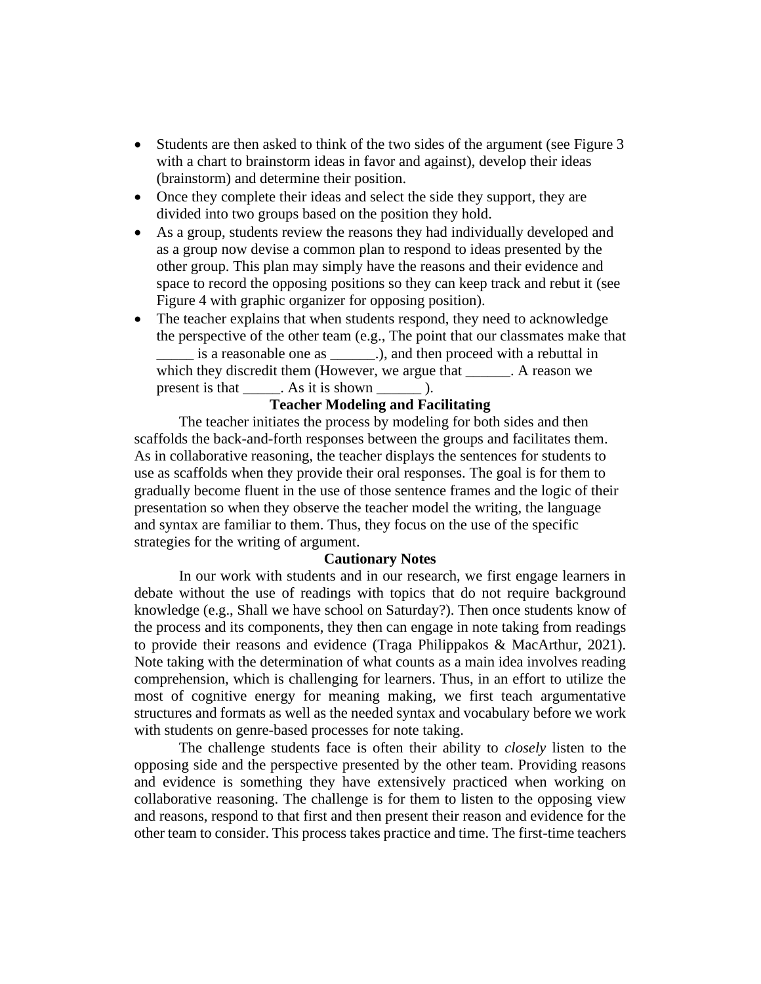- Students are then asked to think of the two sides of the argument (see Figure 3) with a chart to brainstorm ideas in favor and against), develop their ideas (brainstorm) and determine their position.
- Once they complete their ideas and select the side they support, they are divided into two groups based on the position they hold.
- As a group, students review the reasons they had individually developed and as a group now devise a common plan to respond to ideas presented by the other group. This plan may simply have the reasons and their evidence and space to record the opposing positions so they can keep track and rebut it (see Figure 4 with graphic organizer for opposing position).
- The teacher explains that when students respond, they need to acknowledge the perspective of the other team (e.g., The point that our classmates make that is a reasonable one as \_\_\_\_\_\_\_\_.), and then proceed with a rebuttal in which they discredit them (However, we argue that . A reason we present is that  $\_\_\_\_\_\$ . As it is shown  $\_\_\_\_\_\_\$ .

# **Teacher Modeling and Facilitating**

The teacher initiates the process by modeling for both sides and then scaffolds the back-and-forth responses between the groups and facilitates them. As in collaborative reasoning, the teacher displays the sentences for students to use as scaffolds when they provide their oral responses. The goal is for them to gradually become fluent in the use of those sentence frames and the logic of their presentation so when they observe the teacher model the writing, the language and syntax are familiar to them. Thus, they focus on the use of the specific strategies for the writing of argument.

#### **Cautionary Notes**

In our work with students and in our research, we first engage learners in debate without the use of readings with topics that do not require background knowledge (e.g., Shall we have school on Saturday?). Then once students know of the process and its components, they then can engage in note taking from readings to provide their reasons and evidence (Traga Philippakos & MacArthur, 2021). Note taking with the determination of what counts as a main idea involves reading comprehension, which is challenging for learners. Thus, in an effort to utilize the most of cognitive energy for meaning making, we first teach argumentative structures and formats as well as the needed syntax and vocabulary before we work with students on genre-based processes for note taking.

The challenge students face is often their ability to *closely* listen to the opposing side and the perspective presented by the other team. Providing reasons and evidence is something they have extensively practiced when working on collaborative reasoning. The challenge is for them to listen to the opposing view and reasons, respond to that first and then present their reason and evidence for the other team to consider. This process takes practice and time. The first-time teachers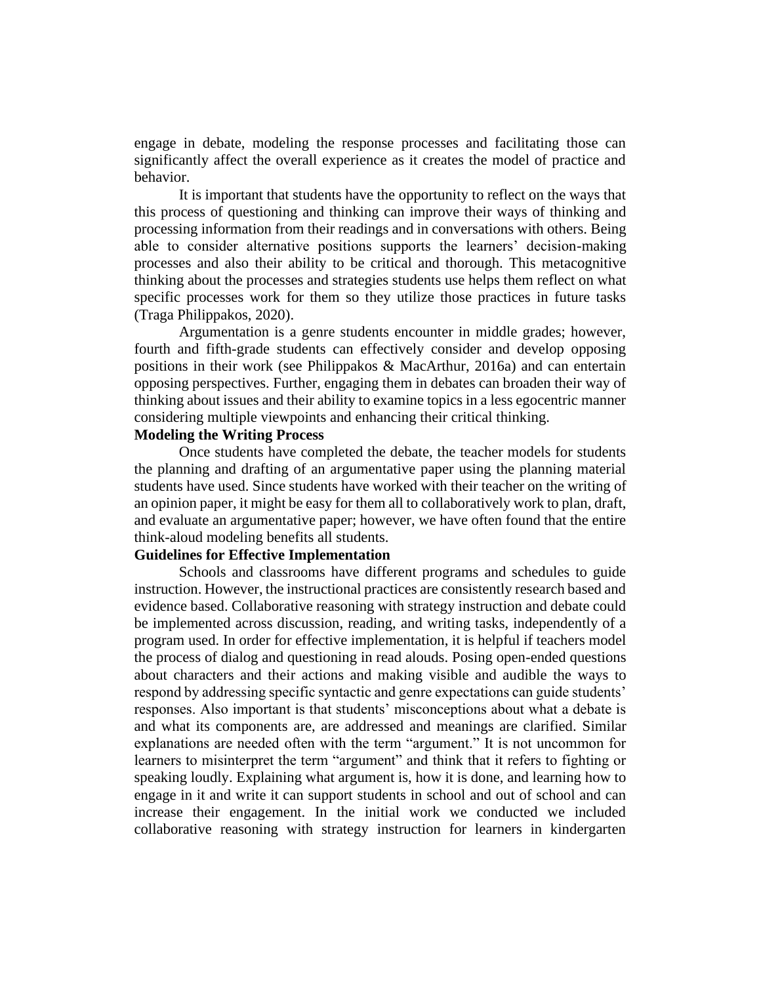engage in debate, modeling the response processes and facilitating those can significantly affect the overall experience as it creates the model of practice and behavior.

It is important that students have the opportunity to reflect on the ways that this process of questioning and thinking can improve their ways of thinking and processing information from their readings and in conversations with others. Being able to consider alternative positions supports the learners' decision-making processes and also their ability to be critical and thorough. This metacognitive thinking about the processes and strategies students use helps them reflect on what specific processes work for them so they utilize those practices in future tasks (Traga Philippakos, 2020).

Argumentation is a genre students encounter in middle grades; however, fourth and fifth-grade students can effectively consider and develop opposing positions in their work (see Philippakos & MacArthur, 2016a) and can entertain opposing perspectives. Further, engaging them in debates can broaden their way of thinking about issues and their ability to examine topics in a less egocentric manner considering multiple viewpoints and enhancing their critical thinking.

#### **Modeling the Writing Process**

Once students have completed the debate, the teacher models for students the planning and drafting of an argumentative paper using the planning material students have used. Since students have worked with their teacher on the writing of an opinion paper, it might be easy for them all to collaboratively work to plan, draft, and evaluate an argumentative paper; however, we have often found that the entire think-aloud modeling benefits all students.

#### **Guidelines for Effective Implementation**

Schools and classrooms have different programs and schedules to guide instruction. However, the instructional practices are consistently research based and evidence based. Collaborative reasoning with strategy instruction and debate could be implemented across discussion, reading, and writing tasks, independently of a program used. In order for effective implementation, it is helpful if teachers model the process of dialog and questioning in read alouds. Posing open-ended questions about characters and their actions and making visible and audible the ways to respond by addressing specific syntactic and genre expectations can guide students' responses. Also important is that students' misconceptions about what a debate is and what its components are, are addressed and meanings are clarified. Similar explanations are needed often with the term "argument." It is not uncommon for learners to misinterpret the term "argument" and think that it refers to fighting or speaking loudly. Explaining what argument is, how it is done, and learning how to engage in it and write it can support students in school and out of school and can increase their engagement. In the initial work we conducted we included collaborative reasoning with strategy instruction for learners in kindergarten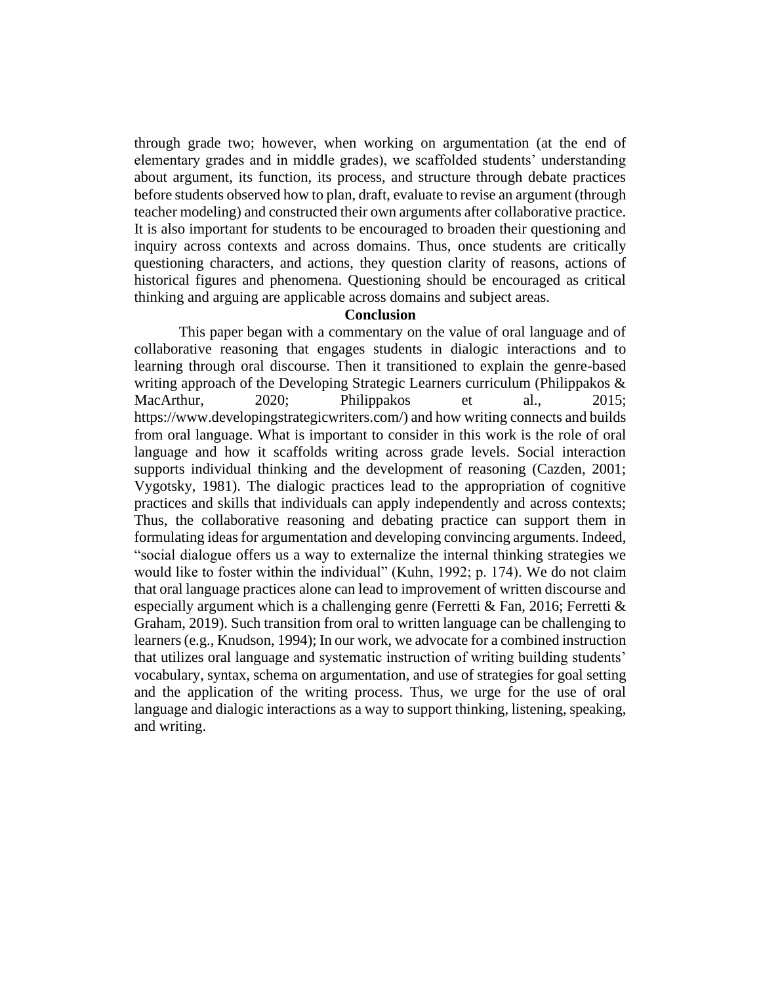through grade two; however, when working on argumentation (at the end of elementary grades and in middle grades), we scaffolded students' understanding about argument, its function, its process, and structure through debate practices before students observed how to plan, draft, evaluate to revise an argument (through teacher modeling) and constructed their own arguments after collaborative practice. It is also important for students to be encouraged to broaden their questioning and inquiry across contexts and across domains. Thus, once students are critically questioning characters, and actions, they question clarity of reasons, actions of historical figures and phenomena. Questioning should be encouraged as critical thinking and arguing are applicable across domains and subject areas.

#### **Conclusion**

This paper began with a commentary on the value of oral language and of collaborative reasoning that engages students in dialogic interactions and to learning through oral discourse. Then it transitioned to explain the genre-based writing approach of the Developing Strategic Learners curriculum (Philippakos & MacArthur, 2020; Philippakos et al., 2015; https://www.developingstrategicwriters.com/) and how writing connects and builds from oral language. What is important to consider in this work is the role of oral language and how it scaffolds writing across grade levels. Social interaction supports individual thinking and the development of reasoning (Cazden, 2001; Vygotsky, 1981). The dialogic practices lead to the appropriation of cognitive practices and skills that individuals can apply independently and across contexts; Thus, the collaborative reasoning and debating practice can support them in formulating ideas for argumentation and developing convincing arguments. Indeed, "social dialogue offers us a way to externalize the internal thinking strategies we would like to foster within the individual" (Kuhn, 1992; p. 174). We do not claim that oral language practices alone can lead to improvement of written discourse and especially argument which is a challenging genre (Ferretti & Fan, 2016; Ferretti & Graham, 2019). Such transition from oral to written language can be challenging to learners (e.g., Knudson, 1994); In our work, we advocate for a combined instruction that utilizes oral language and systematic instruction of writing building students' vocabulary, syntax, schema on argumentation, and use of strategies for goal setting and the application of the writing process. Thus, we urge for the use of oral language and dialogic interactions as a way to support thinking, listening, speaking, and writing.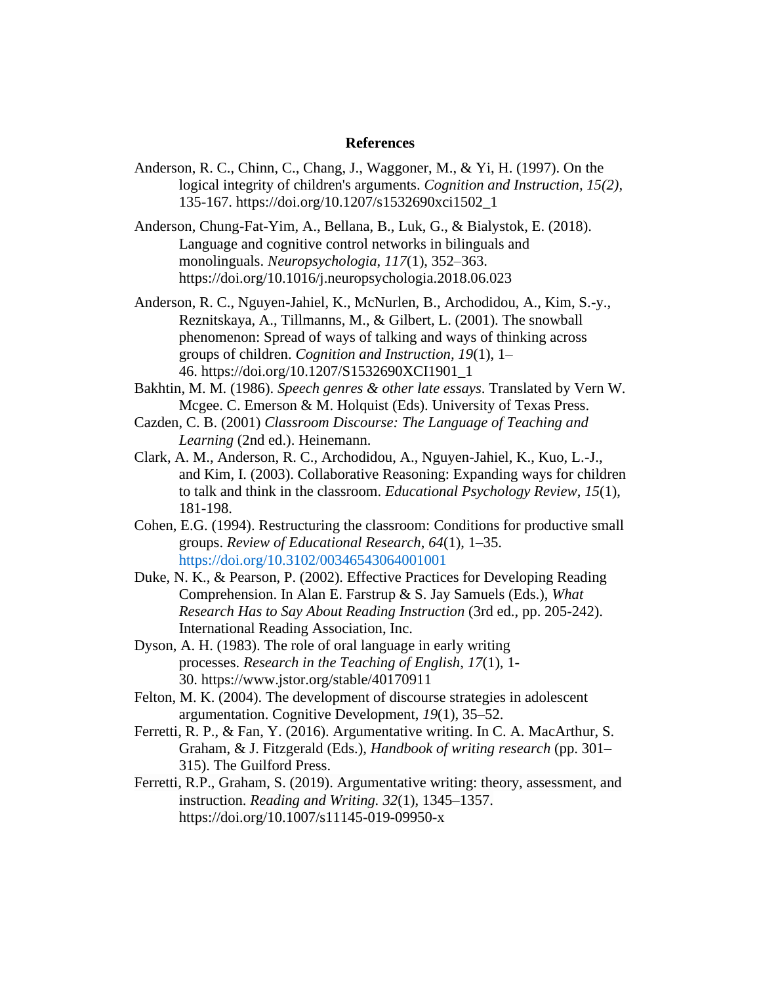#### **References**

- Anderson, R. C., Chinn, C., Chang, J., Waggoner, M., & Yi, H. (1997). On the logical integrity of children's arguments. *Cognition and Instruction, 15(2),*  135-167. [https://doi.org/10.1207/s1532690xci1502\\_1](https://doi.org/10.1207/s1532690xci1502_1)
- Anderson, Chung-Fat-Yim, A., Bellana, B., Luk, G., & Bialystok, E. (2018). Language and cognitive control networks in bilinguals and monolinguals. *Neuropsychologia*, *117*(1), 352–363. https://doi.org/10.1016/j.neuropsychologia.2018.06.023
- Anderson, R. C., Nguyen-Jahiel, K., McNurlen, B., Archodidou, A., Kim, S.-y., Reznitskaya, A., Tillmanns, M., & Gilbert, L. (2001). The snowball phenomenon: Spread of ways of talking and ways of thinking across groups of children. *Cognition and Instruction, 19*(1), 1– 46. [https://doi.org/10.1207/S1532690XCI1901\\_1](https://psycnet.apa.org/doi/10.1207/S1532690XCI1901_1)
- Bakhtin, M. M. (1986). *Speech genres & other late essays*. Translated by Vern W. Mcgee. C. Emerson & M. Holquist (Eds). University of Texas Press.
- Cazden, C. B. (2001) *Classroom Discourse: The Language of Teaching and Learning* (2nd ed.). Heinemann.
- Clark, A. M., Anderson, R. C., Archodidou, A., Nguyen-Jahiel, K., Kuo, L.-J., and Kim, I. (2003). Collaborative Reasoning: Expanding ways for children to talk and think in the classroom. *Educational Psychology Review*, *15*(1), 181-198.
- Cohen, E.G. (1994). Restructuring the classroom: Conditions for productive small groups. *Review of Educational Research*, *64*(1), 1–35. [https://doi.org/10.3102/00346543064001001](https://doi.org/10.3102%2F00346543064001001)
- Duke, N. K., & Pearson, P. (2002). Effective Practices for Developing Reading Comprehension. In Alan E. Farstrup & S. Jay Samuels (Eds.), *What Research Has to Say About Reading Instruction* (3rd ed., pp. 205-242). International Reading Association, Inc.
- Dyson, A. H. (1983). The role of oral language in early writing processes. *Research in the Teaching of English*, *17*(1), 1- 30. <https://www.jstor.org/stable/40170911>
- Felton, M. K. (2004). The development of discourse strategies in adolescent argumentation. Cognitive Development, *19*(1), 35–52.
- Ferretti, R. P., & Fan, Y. (2016). Argumentative writing. In C. A. MacArthur, S. Graham, & J. Fitzgerald (Eds.), *Handbook of writing research* (pp. 301– 315). The Guilford Press.
- Ferretti, R.P., Graham, S. (2019). Argumentative writing: theory, assessment, and instruction. *Reading and Writing. 32*(1), 1345–1357. <https://doi.org/10.1007/s11145-019-09950-x>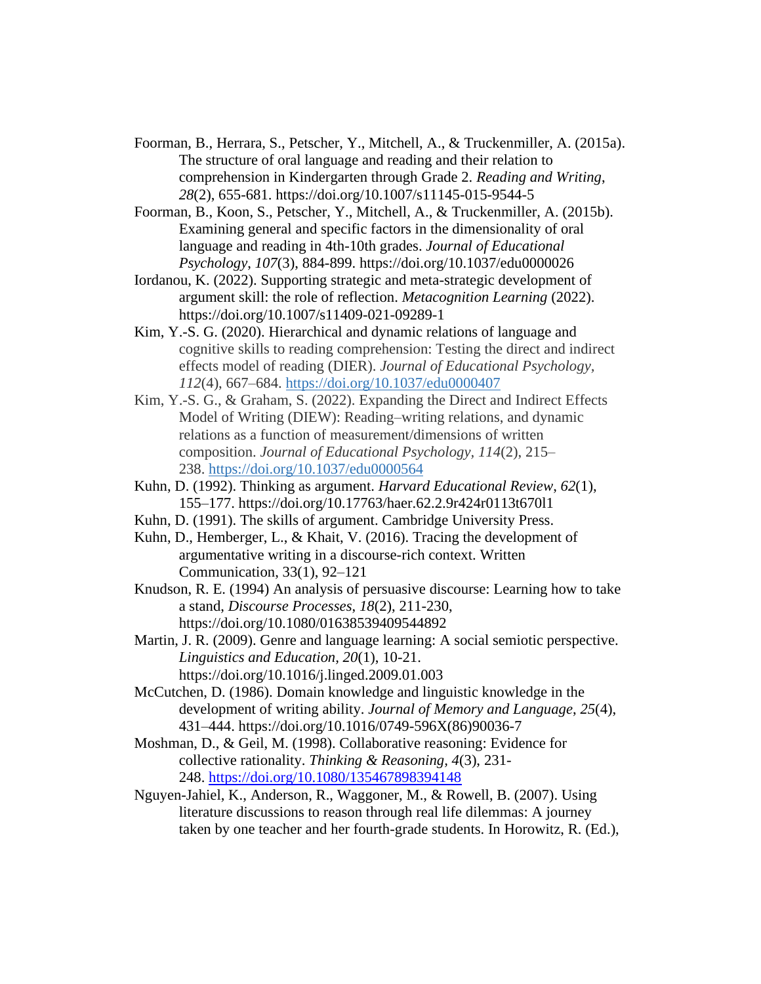- Foorman, B., Herrara, S., Petscher, Y., Mitchell, A., & Truckenmiller, A. (2015a). The structure of oral language and reading and their relation to comprehension in Kindergarten through Grade 2. *Reading and Writing*, *28*(2), 655-681. <https://doi.org/10.1007/s11145-015-9544-5>
- Foorman, B., Koon, S., Petscher, Y., Mitchell, A., & Truckenmiller, A. (2015b). Examining general and specific factors in the dimensionality of oral language and reading in 4th-10th grades. *Journal of Educational Psychology*, *107*(3), 884-899. [https://doi.org/10.1037/edu0000026](https://doi.apa.org/doi/10.1037/edu0000026)
- Iordanou, K. (2022). Supporting strategic and meta-strategic development of argument skill: the role of reflection. *Metacognition Learning* (2022). https://doi.org/10.1007/s11409-021-09289-1
- Kim, Y.-S. G. (2020). Hierarchical and dynamic relations of language and cognitive skills to reading comprehension: Testing the direct and indirect effects model of reading (DIER). *Journal of Educational Psychology, 112*(4), 667–684. [https://doi.org/10.1037/edu0000407](https://psycnet.apa.org/doi/10.1037/edu0000407)
- Kim, Y.-S. G., & Graham, S. (2022). Expanding the Direct and Indirect Effects Model of Writing (DIEW): Reading–writing relations, and dynamic relations as a function of measurement/dimensions of written composition. *Journal of Educational Psychology, 114*(2), 215– 238. [https://doi.org/10.1037/edu0000564](https://psycnet.apa.org/doi/10.1037/edu0000564)
- Kuhn, D. (1992). Thinking as argument. *Harvard Educational Review*, *62*(1), 155–177. <https://doi.org/10.17763/haer.62.2.9r424r0113t670l1>
- Kuhn, D. (1991). The skills of argument. Cambridge University Press.
- Kuhn, D., Hemberger, L., & Khait, V. (2016). Tracing the development of argumentative writing in a discourse-rich context. Written Communication, 33(1), 92–121
- Knudson, R. E. (1994) An analysis of persuasive discourse: Learning how to take a stand, *Discourse Processes*, *18*(2), 211-230, <https://doi.org/10.1080/01638539409544892>
- Martin, J. R. (2009). Genre and language learning: A social semiotic perspective. *Linguistics and Education, 20*(1), 10-21. <https://doi.org/10.1016/j.linged.2009.01.003>
- McCutchen, D. (1986). Domain knowledge and linguistic knowledge in the development of writing ability. *Journal of Memory and Language*, *25*(4), 431–444. [https://doi.org/10.1016/0749-596X\(86\)90036-7](https://doi.org/10.1016/0749-596X(86)90036-7)
- Moshman, D., & Geil, M. (1998). Collaborative reasoning: Evidence for collective rationality. *Thinking & Reasoning, 4*(3), 231- 248. <https://doi.org/10.1080/135467898394148>
- Nguyen-Jahiel, K., Anderson, R., Waggoner, M., & Rowell, B. (2007). Using literature discussions to reason through real life dilemmas: A journey taken by one teacher and her fourth-grade students. In Horowitz, R. (Ed.),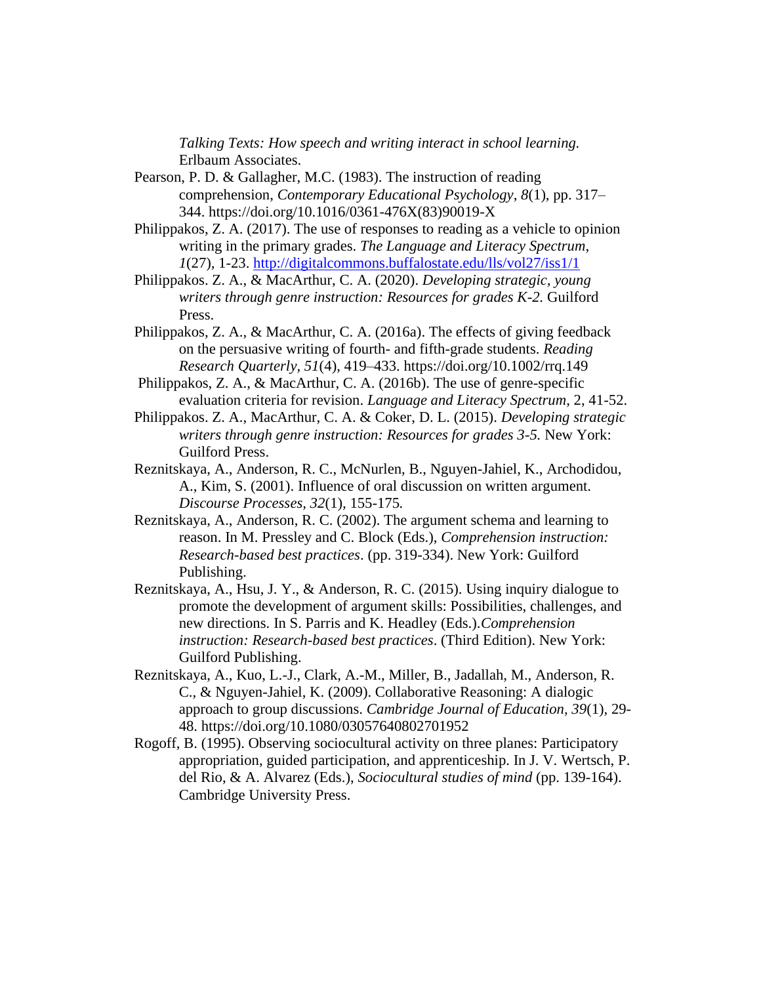*Talking Texts: How speech and writing interact in school learning.*  Erlbaum Associates.

- Pearson, P. D. & Gallagher, M.C. (1983). The instruction of reading comprehension, *Contemporary Educational Psychology*, *8*(1), pp. 317– 344. [https://doi.org/10.1016/0361-476X\(83\)90019-X](https://doi.org/10.1016/0361-476X(83)90019-X)
- Philippakos, Z. A. (2017). The use of responses to reading as a vehicle to opinion writing in the primary grades. *The Language and Literacy Spectrum*, *1*(27)*,* 1-23. <http://digitalcommons.buffalostate.edu/lls/vol27/iss1/1>
- Philippakos. Z. A., & MacArthur, C. A. (2020). *Developing strategic, young writers through genre instruction: Resources for grades K-2.* Guilford Press.
- Philippakos, Z. A., & MacArthur, C. A. (2016a). The effects of giving feedback on the persuasive writing of fourth- and fifth-grade students. *Reading Research Quarterly, 51*(4), 419–433. [https://doi.org/10.1002/rrq.149](https://psycnet.apa.org/doi/10.1002/rrq.149)
- Philippakos, Z. A., & MacArthur, C. A. (2016b). The use of genre-specific evaluation criteria for revision. *Language and Literacy Spectrum*, 2, 41-52.
- Philippakos. Z. A., MacArthur, C. A. & Coker, D. L. (2015). *Developing strategic writers through genre instruction: Resources for grades 3-5.* New York: Guilford Press.
- Reznitskaya, A., Anderson, R. C., McNurlen, B., Nguyen-Jahiel, K., Archodidou, A., Kim, S. (2001). Influence of oral discussion on written argument. *Discourse Processes, 32*(1)*,* 155-175*.*
- Reznitskaya, A., Anderson, R. C. (2002). The argument schema and learning to reason. In M. Pressley and C. Block (Eds.), *Comprehension instruction: Research-based best practices*. (pp. 319-334). New York: Guilford Publishing.
- Reznitskaya, A., Hsu, J. Y., & Anderson, R. C. (2015). Using inquiry dialogue to promote the development of argument skills: Possibilities, challenges, and new directions. In S. Parris and K. Headley (Eds.).*Comprehension instruction: Research-based best practices*. (Third Edition). New York: Guilford Publishing.
- Reznitskaya, A., Kuo, L.-J., Clark, A.-M., Miller, B., Jadallah, M., Anderson, R. C., & Nguyen-Jahiel, K. (2009). Collaborative Reasoning: A dialogic approach to group discussions. *Cambridge Journal of Education, 39*(1)*,* 29- 48.<https://doi.org/10.1080/03057640802701952>
- Rogoff, B. (1995). Observing sociocultural activity on three planes: Participatory appropriation, guided participation, and apprenticeship. In J. V. Wertsch, P. del Rio, & A. Alvarez (Eds.), *Sociocultural studies of mind* (pp. 139-164). Cambridge University Press.